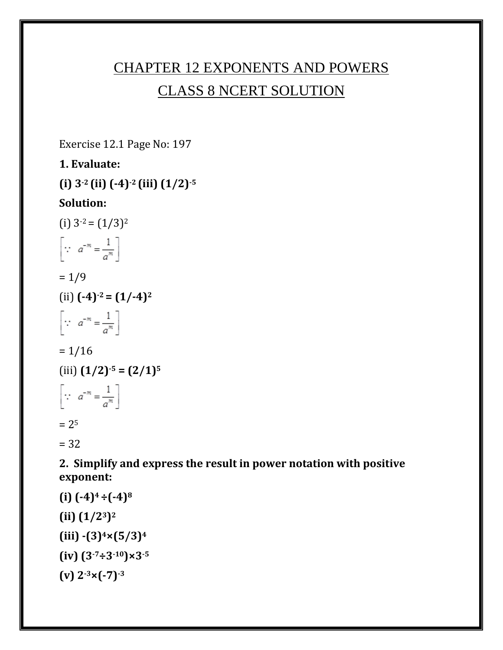# CHAPTER 12 EXPONENTS AND POWERS CLASS 8 NCERT SOLUTION

Exercise 12.1 Page No: 197

**1. Evaluate: (i) 3-2 (ii) (-4)-2 (iii) (1/2)-5 Solution:** (i)  $3^{2} = (1/3)^{2}$  $\left[\because a^{-m} = \frac{1}{a^m}\right]$  $= 1/9$  $(i)$   $(-4)^{-2} = (1/-4)^2$  $\left[\because a^{-m} = \frac{1}{a^m}\right]$  $= 1/16$ (iii) **(1/2)-5 = (2/1)<sup>5</sup>**  $\left[\because a^{-m} = \frac{1}{a^m}\right]$  $= 2<sup>5</sup>$ = 32

**2. Simplify and express the result in power notation with positive exponent:**

```
(i) (-4)4 ÷(-4)8 
(1/2^3)^2(iii) -(3)4×(5/3)4
(iv) (3-7÷3-10)×3-5 
(v) 2-3×(-7)-3
```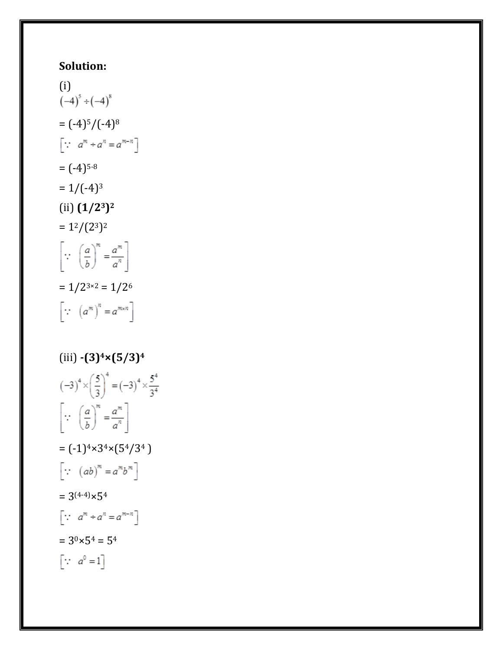## **Solution:**

(i)  
\n
$$
(-4)^5 \div (-4)^8
$$
  
\n $= (-4)^5/(-4)^8$   
\n $\left[\because a^m \div a^n = a^{m-n}\right]$   
\n $= (-4)^{5\cdot 8}$   
\n $= 1/(-4)^3$   
\n(ii)  $(1/2^3)^2$   
\n $= 1^2/(2^3)^2$   
\n $\left[\because \left(\frac{a}{b}\right)^m = \frac{a^m}{a^n}\right]$   
\n $= 1/2^{3\times 2} = 1/2^6$   
\n $\left[\because (a^m)^n = a^{m \times n}\right]$   
\n(iii)  $-(3)^4 \times (5/3)^4$   
\n $(-3)^4 \times \left(\frac{5}{3}\right)^4 = (-3)^4 \times$ 

$$
(-3)^{4} \times \left(\frac{5}{3}\right)^{4} = (-3)^{4} \times \frac{5^{4}}{3^{4}}
$$
  
\n
$$
\left[\because \left(\frac{a}{b}\right)^{m} = \frac{a^{m}}{a^{n}}\right]
$$
  
\n
$$
= (-1)^{4} \times 3^{4} \times (5^{4}/3^{4})
$$
  
\n
$$
\left[\because (ab)^{m} = a^{m}b^{m}\right]
$$
  
\n
$$
= 3^{(4-4)} \times 5^{4}
$$
  
\n
$$
\left[\because a^{m} \div a^{n} = a^{m-n}\right]
$$
  
\n
$$
= 3^{0} \times 5^{4} = 5^{4}
$$
  
\n
$$
\left[\because a^{0} = 1\right]
$$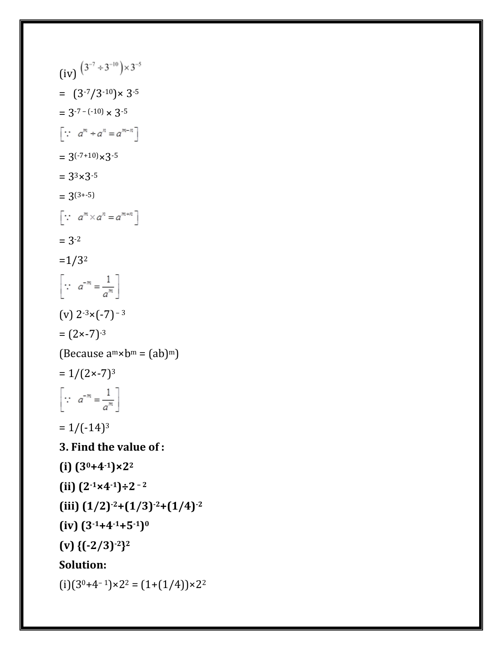$(iv)$   $(3^{-7} \div 3^{-10}) \times 3^{-5}$  $=$   $(3^{-7}/3^{-10}) \times 3^{-5}$  $= 3^{-7 - (-10)} \times 3^{-5}$  $\left[\because a^m \div a^n = a^{m-n}\right]$  $= 3(-7+10) \times 3^{-5}$  $= 3^{3} \times 3^{-5}$  $= 3(3 + -5)$  $\left[\because a^m \times a^n = a^{m+n}\right]$  $= 3 - 2$  $=1/3<sup>2</sup>$  $\left[\because a^{-m} = \frac{1}{a^m}\right]$ (v)  $2^{-3} \times (-7)^{-3}$  $= (2 \times -7)^{-3}$ (Because  $a^m \times b^m = (ab)^m$ )  $= 1/(2 \times -7)^3$  $\left[\because a^{-m} = \frac{1}{a^m}\right]$  $= 1/(-14)^3$ **3. Find the value of : (i) (30+4-1)×2<sup>2</sup>**  $(iii)$   $(2^{-1} \times 4^{-1}) \div 2^{-2}$ **(iii) (1/2)-2+(1/3)-2+(1/4)-2 (iv) (3-1+4-1+5-1) 0 (v) {(-2/3)-2} 2 Solution:**  $(i)(3^{0}+4^{-1}) \times 2^{2} = (1+(1/4)) \times 2^{2}$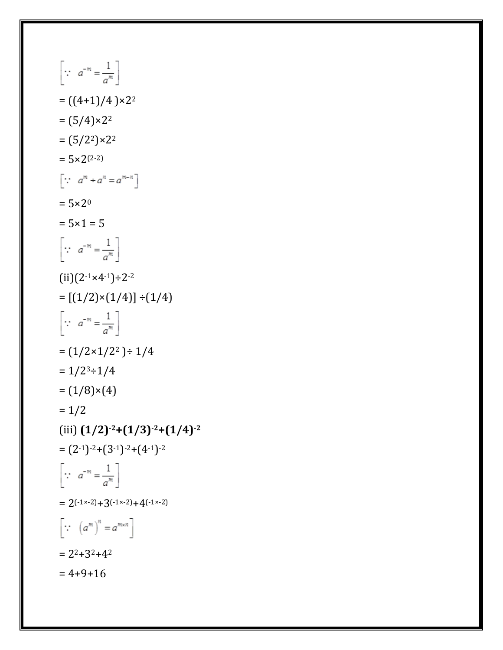$\left[\because a^{-m} = \frac{1}{a^m}\right]$  $= ((4+1)/4) \times 2^2$  $= (5/4) \times 2^2$  $= (5/2^2) \times 2^2$  $= 5 \times 2^{(2-2)}$  $\left[\because a^m \div a^n = a^{m-n}\right]$  $= 5 \times 2^0$  $= 5 \times 1 = 5$  $\left[\because a^{-m} = \frac{1}{a^m}\right]$  $(ii)(2^{-1} \times 4^{-1}) \div 2^{-2}$  $= [(1/2) \times (1/4)] \div (1/4)$  $\left[\because a^{-m} = \frac{1}{a^m}\right]$  $=(1/2\times1/2^2)$  ÷ 1/4  $= 1/2<sup>3</sup> \div 1/4$  $= (1/8) \times (4)$  $= 1/2$ (iii) **(1/2)-2+(1/3)-2+(1/4)-2**  $= (2^{-1})^{-2}+(3^{-1})^{-2}+(4^{-1})^{-2}$  $\left[\because a^{-m} = \frac{1}{a^m}\right]$  $= 2(-1 \times -2) + 3(-1 \times -2) + 4(-1 \times -2)$  $\left[\because (a^m)^n=a^{m \times n}\right]$  $= 2^{2}+3^{2}+4^{2}$  $= 4+9+16$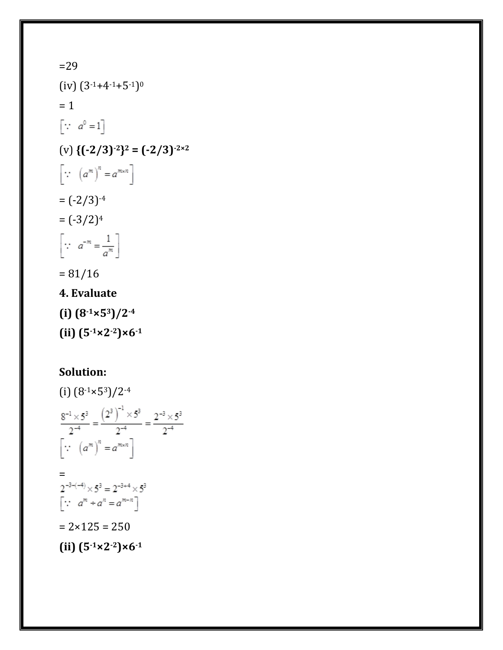=29  $(iv)$   $(3^{-1}+4^{-1}+5^{-1})^0$  $= 1$  $\left[\begin{matrix} \cdot \cdot & a^0 = 1 \end{matrix}\right]$  $(v)$  { $(-2/3)^{-2}$ }<sup>2</sup> =  $(-2/3)^{-2 \times 2}$  $\left[\because (a^m)^n = a^{m \times n}\right]$  $= (-2/3)^{-4}$  $=(-3/2)^4$  $\left[\because a^{-m} = \frac{1}{a^m}\right]$  $= 81/16$ **4. Evaluate (i) (8-1×53)/2-4**

(i) 
$$
(8^{-1} \times 5^3)/2^{-4}
$$
  
\n
$$
\frac{8^{-1} \times 5^3}{2^{-4}} = \frac{(2^3)^{-1} \times 5^3}{2^{-4}} = \frac{2^{-3} \times 5^3}{2^{-4}}
$$
\n[ $\because$   $(a^m)^n = a^{m \times n}$ ]  
\n $=$   
\n $2^{-3-(-4)} \times 5^3 = 2^{-3+4} \times 5^3$   
\n[ $\because$   $a^m \div a^n = a^{m-n}$ ]  
\n $= 2 \times 125 = 250$   
\n(ii)  $(5^{-1} \times 2^{-2}) \times 6^{-1}$ 

**(ii) (5-1×2-2)×6-1**

**Solution:**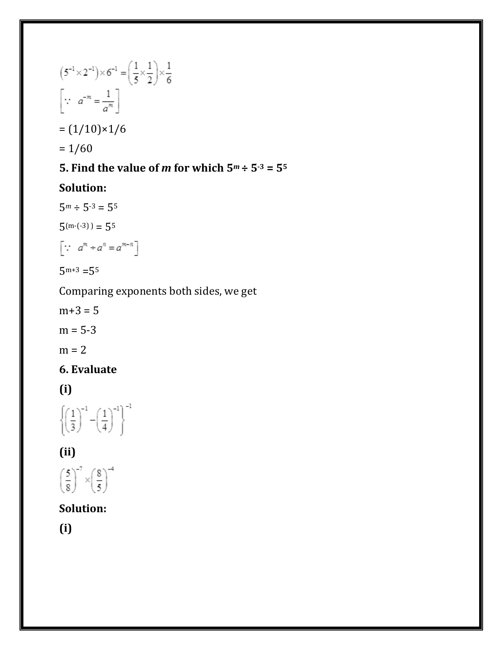$$
(5^{-1} \times 2^{-1}) \times 6^{-1} = \left(\frac{1}{5} \times \frac{1}{2}\right) \times \frac{1}{6}
$$
  
\n
$$
\left[\because a^{-m} = \frac{1}{a^m}\right]
$$
  
\n
$$
= (1/10) \times 1/6
$$
  
\n
$$
= 1/60
$$

### **5. Find the value of** *m* **for which**  $5^m \div 5^{3} = 5^5$

#### **Solution:**

 $5^m \div 5^{-3} = 5^5$  $5^{(m-(-3))} = 5^5$ 

$$
\left[\because a^m \div a^n = a^{m-n}\right]
$$

 $5^{m+3} = 5^5$ 

Comparing exponents both sides, we get

$$
m+3=5
$$
  

$$
m=5-3
$$
  

$$
m=2
$$

### **6. Evaluate**

**(i)**

$$
\left\{\!\!\left(\frac{1}{3}\right)^{\!\!-1}\!\!-\!\!\left(\frac{1}{4}\right)^{\!\!-1}\!\right\}^{-1}
$$

### **(ii)**

$$
\left(\frac{5}{8}\right)^{-7} \times \left(\frac{8}{5}\right)^{-4}
$$

### **Solution:**

**(i)**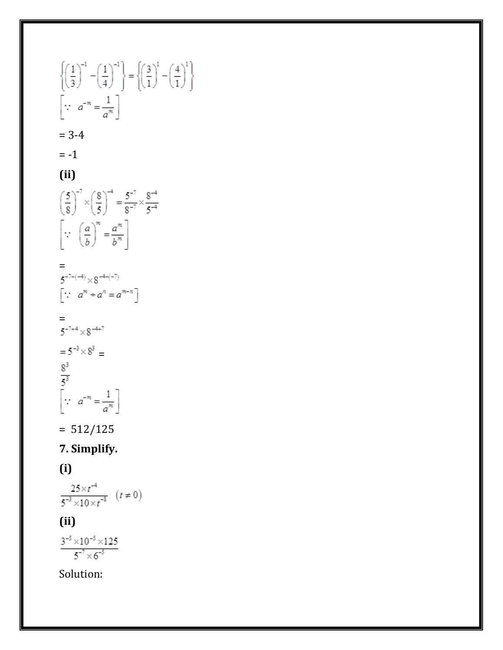$\left\{\!\left(\frac{1}{3}\right)^{\!-1}-\!\left(\frac{1}{4}\right)^{\!-1}\right\}\!=\!\left\{\!\left(\frac{3}{1}\right)^{\!1}-\!\left(\frac{4}{1}\right)^{\!1}\right\}$  $\left[\because a^{-m} = \frac{1}{a^m}\right]$  $= 3-4$  $= -1$ **(ii)**  $\left(\frac{5}{8}\right)^{-7} \times \left(\frac{8}{5}\right)^{-4} = \frac{5^{-7}}{8^{-7}} \times \frac{8^{-4}}{5^{-4}}$  $\left[\because \left(\frac{a}{b}\right)^m = \frac{a^m}{b^m}\right]$  $=$ <br>5<sup>-7-(-4)</sup>  $\times$ 8<sup>-4-(-7)</sup>  $\left[\begin{smallmatrix} \cdot\cdot & a^m + a^n = a^{m-n} \end{smallmatrix}\right]$  $5^{-7+4} \times 8^{-4+7}$ =  $5^{-3} \times 8^{3}$  =<br>  $\frac{8^{3}}{5^{3}}$ <br>  $\left[\because a^{-m} = \frac{1}{a^{m}}\right]$  $= 512/125$ **7. Simplify. (i)**   $\frac{25 \times t^{-4}}{5^{-3} \times 10 \times t^{-8}} (t \neq 0)$ **(ii)**

 $\frac{3^{-5} \times 10^{-5} \times 125}{5^{-7} \times 6^{-5}}$ 

Solution: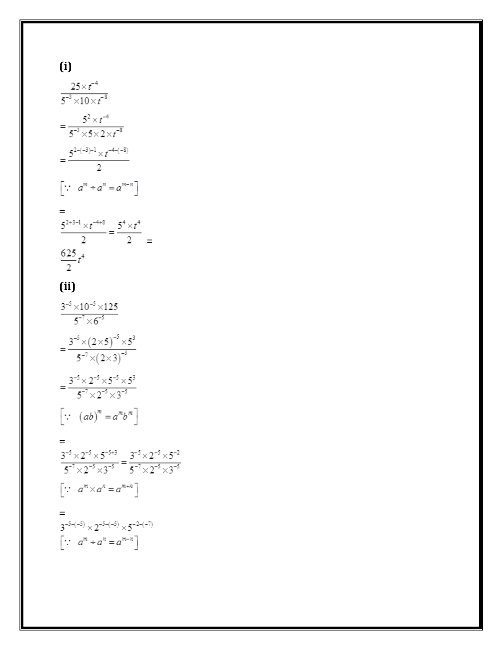$$
\frac{5^{2-(-3)-1} \times t^{-4-(-8)}}{2}
$$
\n
$$
\left[\because a^m \div a^n = a^{m-n}\right]
$$
\n
$$
\frac{5^{2+3-1} \times t^{-4+8}}{2} = \frac{5^4 \times t^4}{2}
$$
\n
$$
\frac{625}{2}t^4
$$
\n(ii)\n
$$
\frac{3^{-5} \times 10^{-5} \times 125}{5^{-7} \times 6^{-5}}
$$
\n
$$
= \frac{3^{-5} \times (2 \times 5)^{-5} \times 5^3}{5^{-7} \times (2 \times 3)^{-5}}
$$
\n
$$
= \frac{3^{-5} \times 2^{-5} \times 5^{-5} \times 5^3}{5^{-7} \times 2^{-5} \times 3^{-5}}
$$
\n
$$
\left[\because (ab)^m = a^m b^m\right]
$$
\n
$$
= \frac{3^{-5} \times 2^{-5} \times 5^{-5+3}}{5^{-7} \times 2^{-5} \times 3^{-5}} = \frac{3^{-5} \times 2^{-5} \times 5^{-2}}{5^{-7} \times 2^{-5} \times 3^{-5}}
$$
\n
$$
\left[\because a^m \times a^n = a^{m+n}\right]
$$
\n
$$
= \frac{3^{-5} \times 2^{-5} \times 5^{-2-(-5)} \times 5^{-2-(-7)}}{5^{-7} \times 2^{-5-(-5)} \times 5^{-2-(-7)}}
$$
\n
$$
\left[\because a^m \div a^n = a^{m-n}\right]
$$

 $(i)$ 

 $\frac{25 \times t^{-4}}{5^{-3} \times 10 \times t^{-8}}$ 

 $=\frac{5^2 \times t^{-4}}{5^{-3} \times 5 \times 2 \times t^{-8}}$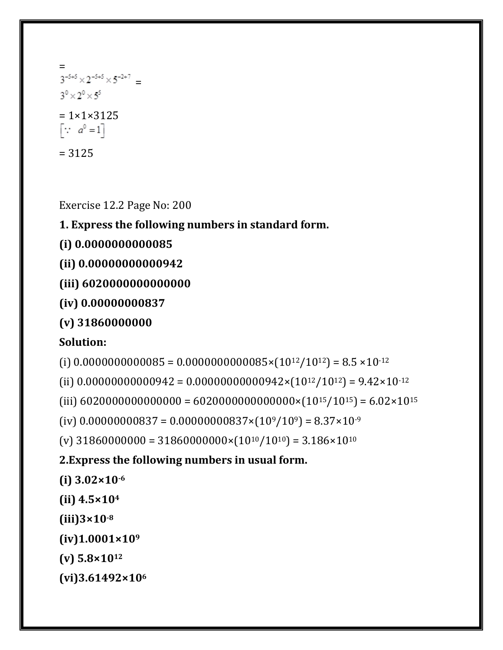= =  $3^{\circ} \times 2^{\circ} \times 5^{\circ}$  $= 1 \times 1 \times 3125$  $\begin{bmatrix} \cdots & a^0 = 1 \end{bmatrix}$ = 3125

Exercise 12.2 Page No: 200

**1. Express the following numbers in standard form.**

**(i) 0.0000000000085**

**(ii) 0.00000000000942**

**(iii) 6020000000000000**

**(iv) 0.00000000837**

**(v) 31860000000**

#### **Solution:**

(i)  $0.0000000000085 = 0.0000000000085 \times (10^{12}/10^{12}) = 8.5 \times 10^{-12}$ 

(ii)  $0.00000000000942 = 0.00000000000942 \times (10^{12}/10^{12}) = 9.42 \times 10^{-12}$ 

(iii)  $6020000000000000 = 60200000000000000 \times (10^{15}/10^{15}) = 6.02 \times 10^{15}$ 

(iv)  $0.00000000837 = 0.00000000837 \times (10^9/10^9) = 8.37 \times 10^{-9}$ 

(v)  $31860000000 = 31860000000 \times (10^{10}/10^{10}) = 3.186 \times 10^{10}$ 

**2.Express the following numbers in usual form.**

**(i) 3.02×10-6**

**(ii) 4.5×10<sup>4</sup>**

**(iii)3×10-8**

**(iv)1.0001×10<sup>9</sup>**

**(v) 5.8×10<sup>12</sup>**

**(vi)3.61492×106**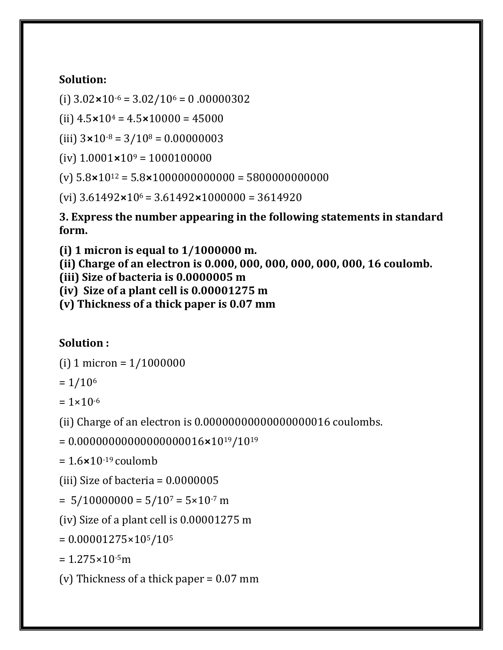#### **Solution:**

(i)  $3.02 \times 10^{-6} = 3.02/10^{6} = 0.00000302$ 

(ii)  $4.5 \times 10^4 = 4.5 \times 10000 = 45000$ 

(iii)  $3 \times 10^{-8} = 3/10^8 = 0.00000003$ 

(iv)  $1.0001 \times 10^9 = 1000100000$ 

(v) 5.8**×**10<sup>12</sup> = 5.8**×**1000000000000 = 5800000000000

(vi) 3.61492**×**10<sup>6</sup> = 3.61492**×**1000000 = 3614920

**3. Express the number appearing in the following statements in standard form.**

**(i) 1 micron is equal to 1/1000000 m.**

**(ii) Charge of an electron is 0.000, 000, 000, 000, 000, 000, 16 coulomb.**

**(iii) Size of bacteria is 0.0000005 m**

**(iv) Size of a plant cell is 0.00001275 m**

**(v) Thickness of a thick paper is 0.07 mm**

#### **Solution :**

(i) 1 micron =  $1/1000000$ 

 $= 1/10<sup>6</sup>$ 

 $= 1 \times 10^{-6}$ 

(ii) Charge of an electron is 0.00000000000000000016 coulombs.

= 0.00000000000000000016**×**1019/10<sup>19</sup>

= 1.6**×**10-19 coulomb

(iii) Size of bacteria = 0.0000005

 $= 5/10000000 = 5/10<sup>7</sup> = 5 \times 10<sup>-7</sup>$  m

(iv) Size of a plant cell is 0.00001275 m

 $= 0.00001275 \times 10^{5}/10^{5}$ 

 $= 1.275 \times 10^{-5}$ m

(v) Thickness of a thick paper = 0.07 mm